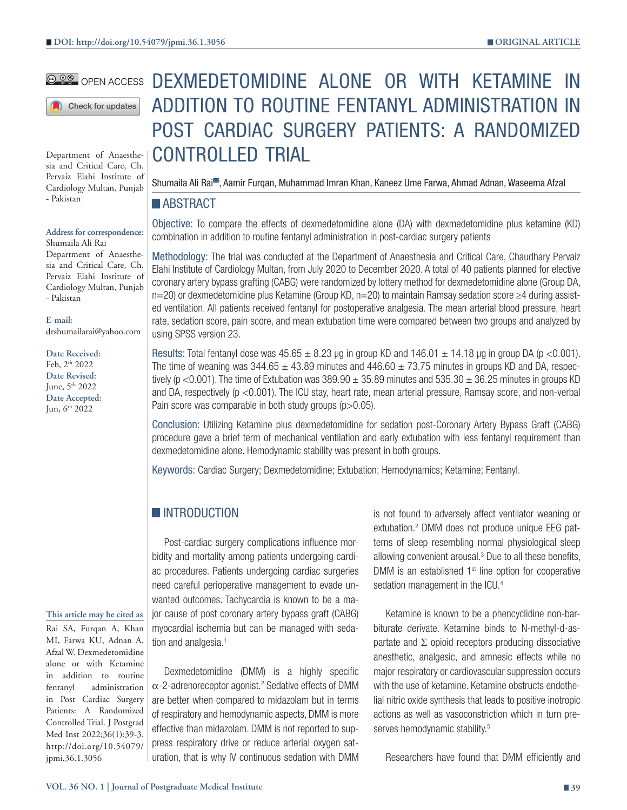#### **@ DO** OPEN ACCESS

Check for updates

Department of Anaesthesia and Critical Care, Ch. Pervaiz Elahi Institute of Cardiology Multan, Punjab - Pakistan

**Address for correspondence:**

Shumaila Ali Rai Department of Anaesthesia and Critical Care, Ch. Pervaiz Elahi Institute of Cardiology Multan, Punjab - Pakistan

**E-mail:**

drshumailarai@yahoo.com

**Date Received:** Feb, 2th 2022 **Date Revised:** June, 5th 2022 **Date Accepted:** Jun, 6<sup>th</sup> 2022

#### **This article may be cited as**

Rai SA, Furqan A, Khan MI, Farwa KU, Adnan A, Afzal W. Dexmedetomidine alone or with Ketamine in addition to routine fentanyl administration in Post Cardiac Surgery Patients: A Randomized Controlled Trial. J Postgrad Med Inst 2022;36(1):39-3. http://doi.org/10.54079/ jpmi.36.1.3056

# DEXMEDETOMIDINE ALONE OR WITH KETAMINE IN ADDITION TO ROUTINE FENTANYL ADMINISTRATION IN POST CARDIAC SURGERY PATIENTS: A RANDOMIZED CONTROLLED TRIAL

Shumaila Ali Rai<sup>ss</sup>, Aamir Furqan, Muhammad Imran Khan, Kaneez Ume Farwa, Ahmad Adnan, Waseema Afzal

#### **ABSTRACT**

Objective: To compare the effects of dexmedetomidine alone (DA) with dexmedetomidine plus ketamine (KD) combination in addition to routine fentanyl administration in post-cardiac surgery patients

Methodology: The trial was conducted at the Department of Anaesthesia and Critical Care, Chaudhary Pervaiz Elahi Institute of Cardiology Multan, from July 2020 to December 2020. A total of 40 patients planned for elective coronary artery bypass grafting (CABG) were randomized by lottery method for dexmedetomidine alone (Group DA, n=20) or dexmedetomidine plus Ketamine (Group KD, n=20) to maintain Ramsay sedation score ≥4 during assisted ventilation. All patients received fentanyl for postoperative analgesia. The mean arterial blood pressure, heart rate, sedation score, pain score, and mean extubation time were compared between two groups and analyzed by using SPSS version 23.

Results: Total fentanyl dose was  $45.65 \pm 8.23$  µg in group KD and  $146.01 \pm 14.18$  µg in group DA (p <0.001). The time of weaning was  $344.65 \pm 43.89$  minutes and  $446.60 \pm 73.75$  minutes in groups KD and DA, respectively (p <0.001). The time of Extubation was  $389.90 \pm 35.89$  minutes and  $535.30 \pm 36.25$  minutes in groups KD and DA, respectively (p <0.001). The ICU stay, heart rate, mean arterial pressure, Ramsay score, and non-verbal Pain score was comparable in both study groups (p>0.05).

Conclusion: Utilizing Ketamine plus dexmedetomidine for sedation post-Coronary Artery Bypass Graft (CABG) procedure gave a brief term of mechanical ventilation and early extubation with less fentanyl requirement than dexmedetomidine alone. Hemodynamic stability was present in both groups.

Keywords: Cardiac Surgery; Dexmedetomidine; Extubation; Hemodynamics; Ketamine; Fentanyl.

## **INTRODUCTION**

Post-cardiac surgery complications influence morbidity and mortality among patients undergoing cardiac procedures. Patients undergoing cardiac surgeries need careful perioperative management to evade unwanted outcomes. Tachycardia is known to be a major cause of post coronary artery bypass graft (CABG) myocardial ischemia but can be managed with sedation and analgesia.<sup>1</sup>

Dexmedetomidine (DMM) is a highly specific  $\alpha$ -2-adrenoreceptor agonist.<sup>2</sup> Sedative effects of DMM are better when compared to midazolam but in terms of respiratory and hemodynamic aspects, DMM is more effective than midazolam. DMM is not reported to suppress respiratory drive or reduce arterial oxygen saturation, that is why IV continuous sedation with DMM

is not found to adversely affect ventilator weaning or extubation.<sup>2</sup> DMM does not produce unique EEG patterns of sleep resembling normal physiological sleep allowing convenient arousal.<sup>3</sup> Due to all these benefits, DMM is an established  $1<sup>st</sup>$  line option for cooperative sedation management in the ICU.<sup>4</sup>

Ketamine is known to be a phencyclidine non-barbiturate derivate. Ketamine binds to N-methyl-d-aspartate and  $\Sigma$  opioid receptors producing dissociative anesthetic, analgesic, and amnesic effects while no major respiratory or cardiovascular suppression occurs with the use of ketamine. Ketamine obstructs endothelial nitric oxide synthesis that leads to positive inotropic actions as well as vasoconstriction which in turn preserves hemodynamic stability.<sup>5</sup>

Researchers have found that DMM efficiently and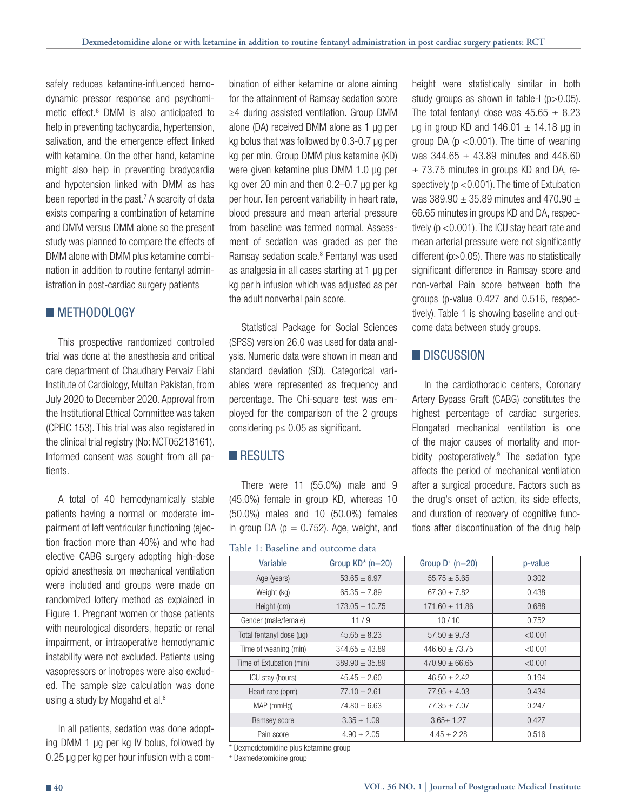safely reduces ketamine-influenced hemodynamic pressor response and psychomimetic effect.<sup>6</sup> DMM is also anticipated to help in preventing tachycardia, hypertension, salivation, and the emergence effect linked with ketamine. On the other hand, ketamine might also help in preventing bradycardia and hypotension linked with DMM as has been reported in the past.<sup>7</sup> A scarcity of data exists comparing a combination of ketamine and DMM versus DMM alone so the present study was planned to compare the effects of DMM alone with DMM plus ketamine combination in addition to routine fentanyl administration in post-cardiac surgery patients

## **METHODOLOGY**

This prospective randomized controlled trial was done at the anesthesia and critical care department of Chaudhary Pervaiz Elahi Institute of Cardiology, Multan Pakistan, from July 2020 to December 2020. Approval from the Institutional Ethical Committee was taken (CPEIC 153). This trial was also registered in the clinical trial registry (No: NCT05218161). Informed consent was sought from all patients.

A total of 40 hemodynamically stable patients having a normal or moderate impairment of left ventricular functioning (ejection fraction more than 40%) and who had elective CABG surgery adopting high-dose opioid anesthesia on mechanical ventilation were included and groups were made on randomized lottery method as explained in Figure 1. Pregnant women or those patients with neurological disorders, hepatic or renal impairment, or intraoperative hemodynamic instability were not excluded. Patients using vasopressors or inotropes were also excluded. The sample size calculation was done using a study by Mogahd et al.<sup>8</sup>

In all patients, sedation was done adopting DMM 1 µg per kg IV bolus, followed by 0.25 µg per kg per hour infusion with a combination of either ketamine or alone aiming for the attainment of Ramsay sedation score ≥4 during assisted ventilation. Group DMM alone (DA) received DMM alone as 1 µg per kg bolus that was followed by 0.3-0.7 µg per kg per min. Group DMM plus ketamine (KD) were given ketamine plus DMM 1.0 µg per kg over 20 min and then 0.2–0.7 µg per kg per hour. Ten percent variability in heart rate, blood pressure and mean arterial pressure from baseline was termed normal. Assessment of sedation was graded as per the Ramsay sedation scale.<sup>8</sup> Fentanyl was used as analgesia in all cases starting at 1 µg per kg per h infusion which was adjusted as per the adult nonverbal pain score.

Statistical Package for Social Sciences (SPSS) version 26.0 was used for data analysis. Numeric data were shown in mean and standard deviation (SD). Categorical variables were represented as frequency and percentage. The Chi-square test was employed for the comparison of the 2 groups considering p≤ 0.05 as significant.

### **RESULTS**

There were 11 (55.0%) male and 9 (45.0%) female in group KD, whereas 10 (50.0%) males and 10 (50.0%) females in group DA ( $p = 0.752$ ). Age, weight, and

Table 1: Baseline and outcome data

| height were statistically similar in both             |  |  |  |  |
|-------------------------------------------------------|--|--|--|--|
| study groups as shown in table-1 ( $p > 0.05$ ).      |  |  |  |  |
| The total fentanyl dose was $45.65 \pm 8.23$          |  |  |  |  |
| $\mu$ g in group KD and 146.01 $\pm$ 14.18 $\mu$ g in |  |  |  |  |
| group DA ( $p < 0.001$ ). The time of weaning         |  |  |  |  |
| was 344.65 $\pm$ 43.89 minutes and 446.60             |  |  |  |  |
| $\pm$ 73.75 minutes in groups KD and DA, re-          |  |  |  |  |
| spectively ( $p < 0.001$ ). The time of Extubation    |  |  |  |  |
| was 389.90 $\pm$ 35.89 minutes and 470.90 $\pm$       |  |  |  |  |
| 66.65 minutes in groups KD and DA, respec-            |  |  |  |  |
| tively ( $p < 0.001$ ). The ICU stay heart rate and   |  |  |  |  |
| mean arterial pressure were not significantly         |  |  |  |  |
| different ( $p > 0.05$ ). There was no statistically  |  |  |  |  |
| significant difference in Ramsay score and            |  |  |  |  |
| non-verbal Pain score between both the                |  |  |  |  |
| groups (p-value 0.427 and 0.516, respec-              |  |  |  |  |
| tively). Table 1 is showing baseline and out-         |  |  |  |  |
| come data between study groups.                       |  |  |  |  |

### **DISCUSSION**

In the cardiothoracic centers, Coronary Artery Bypass Graft (CABG) constitutes the highest percentage of cardiac surgeries. Elongated mechanical ventilation is one of the major causes of mortality and morbidity postoperatively.9 The sedation type affects the period of mechanical ventilation after a surgical procedure. Factors such as the drug's onset of action, its side effects, and duration of recovery of cognitive functions after discontinuation of the drug help

| Variable                 | Group $KD^*$ (n=20) | Group $D^+$ (n=20) | p-value |  |
|--------------------------|---------------------|--------------------|---------|--|
| Age (years)              | $53.65 \pm 6.97$    | $55.75 \pm 5.65$   | 0.302   |  |
| Weight (kg)              | $65.35 + 7.89$      | $67.30 + 7.82$     | 0.438   |  |
| Height (cm)              | $173.05 \pm 10.75$  | $171.60 \pm 11.86$ | 0.688   |  |
| Gender (male/female)     | 11/9                | 10/10              | 0.752   |  |
| Total fentanyl dose (µq) | $45.65 \pm 8.23$    | $57.50 \pm 9.73$   | < 0.001 |  |
| Time of weaning (min)    | $344.65 \pm 43.89$  | $446.60 \pm 73.75$ | < 0.001 |  |
| Time of Extubation (min) | $389.90 \pm 35.89$  | $470.90 + 66.65$   | < 0.001 |  |
| ICU stay (hours)         | $45.45 + 2.60$      | $46.50 + 2.42$     | 0.194   |  |
| Heart rate (bpm)         | $77.10 \pm 2.61$    | $77.95 + 4.03$     | 0.434   |  |
| MAP (mmHg)               | $74.80 \pm 6.63$    | $77.35 \pm 7.07$   | 0.247   |  |
| Ramsey score             | $3.35 \pm 1.09$     | $3.65 \pm 1.27$    | 0.427   |  |
| Pain score               | $4.90 \pm 2.05$     | $4.45 \pm 2.28$    | 0.516   |  |

\* Dexmedetomidine plus ketamine group

+ Dexmedetomidine group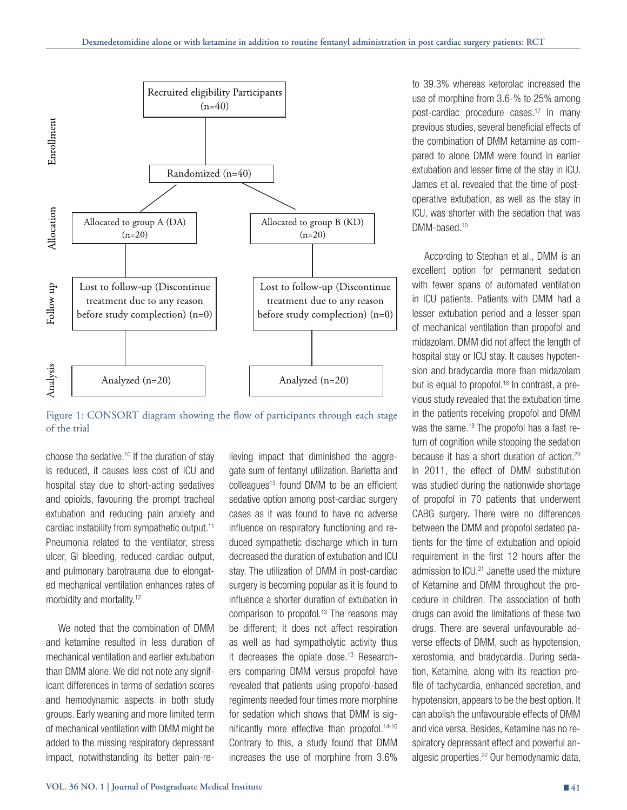

Figure 1: CONSORT diagram showing the flow of participants through each stage of the trial

choose the sedative.10 If the duration of stay is reduced, it causes less cost of ICU and hospital stay due to short-acting sedatives and opioids, favouring the prompt tracheal extubation and reducing pain anxiety and cardiac instability from sympathetic output.11 Pneumonia related to the ventilator, stress ulcer, GI bleeding, reduced cardiac output, and pulmonary barotrauma due to elongated mechanical ventilation enhances rates of morbidity and mortality.12

We noted that the combination of DMM and ketamine resulted in less duration of mechanical ventilation and earlier extubation than DMM alone. We did not note any significant differences in terms of sedation scores and hemodynamic aspects in both study groups. Early weaning and more limited term of mechanical ventilation with DMM might be added to the missing respiratory depressant impact, notwithstanding its better pain-re-

lieving impact that diminished the aggregate sum of fentanyl utilization. Barletta and colleagues<sup>13</sup> found DMM to be an efficient sedative option among post-cardiac surgery cases as it was found to have no adverse influence on respiratory functioning and reduced sympathetic discharge which in turn decreased the duration of extubation and ICU stay. The utilization of DMM in post-cardiac surgery is becoming popular as it is found to influence a shorter duration of extubation in comparison to propofol.<sup>13</sup> The reasons may be different; it does not affect respiration as well as had sympatholytic activity thus it decreases the opiate dose.<sup>13</sup> Researchers comparing DMM versus propofol have revealed that patients using propofol-based regiments needed four times more morphine for sedation which shows that DMM is significantly more effective than propofol.14-16 Contrary to this, a study found that DMM increases the use of morphine from 3.6%

to 39.3% whereas ketorolac increased the use of morphine from 3.6-% to 25% among post-cardiac procedure cases.17 In many previous studies, several beneficial effects of the combination of DMM ketamine as compared to alone DMM were found in earlier extubation and lesser time of the stay in ICU. James et al. revealed that the time of postoperative extubation, as well as the stay in ICU, was shorter with the sedation that was DMM-based<sup>10</sup>

According to Stephan et al., DMM is an excellent option for permanent sedation with fewer spans of automated ventilation in ICU patients. Patients with DMM had a lesser extubation period and a lesser span of mechanical ventilation than propofol and midazolam. DMM did not affect the length of hospital stay or ICU stay. It causes hypotension and bradycardia more than midazolam but is equal to propofol.<sup>18</sup> In contrast, a previous study revealed that the extubation time in the patients receiving propofol and DMM was the same.<sup>19</sup> The propofol has a fast return of cognition while stopping the sedation because it has a short duration of action.20 In 2011, the effect of DMM substitution was studied during the nationwide shortage of propofol in 70 patients that underwent CABG surgery. There were no differences between the DMM and propofol sedated patients for the time of extubation and opioid requirement in the first 12 hours after the admission to ICU.<sup>21</sup> Janette used the mixture of Ketamine and DMM throughout the procedure in children. The association of both drugs can avoid the limitations of these two drugs. There are several unfavourable adverse effects of DMM, such as hypotension, xerostomia, and bradycardia. During sedation, Ketamine, along with its reaction profile of tachycardia, enhanced secretion, and hypotension, appears to be the best option. It can abolish the unfavourable effects of DMM and vice versa. Besides, Ketamine has no respiratory depressant effect and powerful analgesic properties.22 Our hemodynamic data,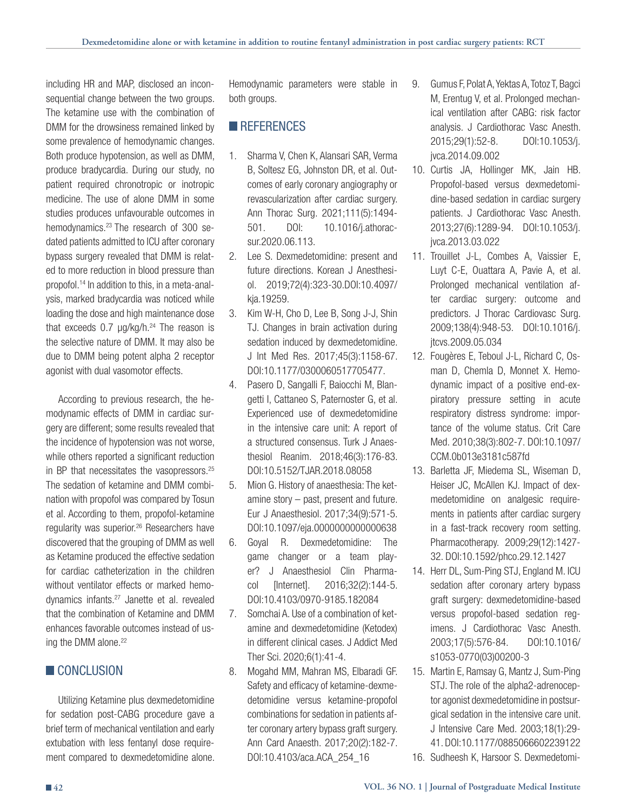including HR and MAP, disclosed an inconsequential change between the two groups. The ketamine use with the combination of DMM for the drowsiness remained linked by some prevalence of hemodynamic changes. Both produce hypotension, as well as DMM, produce bradycardia. During our study, no patient required chronotropic or inotropic medicine. The use of alone DMM in some studies produces unfavourable outcomes in hemodynamics.<sup>23</sup> The research of 300 sedated patients admitted to ICU after coronary bypass surgery revealed that DMM is related to more reduction in blood pressure than propofol.14 In addition to this, in a meta-analysis, marked bradycardia was noticed while loading the dose and high maintenance dose that exceeds  $0.7 \mu g/kg/h$ .<sup>24</sup> The reason is the selective nature of DMM. It may also be due to DMM being potent alpha 2 receptor agonist with dual vasomotor effects.

According to previous research, the hemodynamic effects of DMM in cardiac surgery are different; some results revealed that the incidence of hypotension was not worse, while others reported a significant reduction in BP that necessitates the vasopressors.25 The sedation of ketamine and DMM combination with propofol was compared by Tosun et al. According to them, propofol-ketamine regularity was superior.<sup>26</sup> Researchers have discovered that the grouping of DMM as well as Ketamine produced the effective sedation for cardiac catheterization in the children without ventilator effects or marked hemodynamics infants.27 Janette et al. revealed that the combination of Ketamine and DMM enhances favorable outcomes instead of using the DMM alone.<sup>22</sup>

## **CONCLUSION**

Utilizing Ketamine plus dexmedetomidine for sedation post-CABG procedure gave a brief term of mechanical ventilation and early extubation with less fentanyl dose requirement compared to dexmedetomidine alone.

Hemodynamic parameters were stable in both groups.

## **REFERENCES**

- 1. Sharma V, Chen K, Alansari SAR, Verma B, Soltesz EG, Johnston DR, et al. Outcomes of early coronary angiography or revascularization after cardiac surgery. Ann Thorac Surg. 2021;111(5):1494- 501. DOI: 10.1016/j.athoracsur.2020.06.113.
- 2. Lee S. Dexmedetomidine: present and future directions. Korean J Anesthesiol. 2019;72(4):323-30.DOI:10.4097/ kja.19259.
- 3. Kim W-H, Cho D, Lee B, Song J-J, Shin TJ. Changes in brain activation during sedation induced by dexmedetomidine. J Int Med Res. 2017;45(3):1158-67. DOI:10.1177/0300060517705477.
- 4. Pasero D, Sangalli F, Baiocchi M, Blangetti I, Cattaneo S, Paternoster G, et al. Experienced use of dexmedetomidine in the intensive care unit: A report of a structured consensus. Turk J Anaesthesiol Reanim. 2018;46(3):176-83. DOI:10.5152/TJAR.2018.08058
- 5. Mion G. History of anaesthesia: The ketamine story – past, present and future. Eur J Anaesthesiol. 2017;34(9):571-5. DOI:10.1097/eja.0000000000000638
- 6. Goyal R. Dexmedetomidine: The game changer or a team player? J Anaesthesiol Clin Pharmacol [Internet]. 2016;32(2):144-5. DOI:10.4103/0970-9185.182084
- 7. Somchai A. Use of a combination of ketamine and dexmedetomidine (Ketodex) in different clinical cases. J Addict Med Ther Sci. 2020;6(1):41-4.
- 8. Mogahd MM, Mahran MS, Elbaradi GF. Safety and efficacy of ketamine-dexmedetomidine versus ketamine-propofol combinations for sedation in patients after coronary artery bypass graft surgery. Ann Card Anaesth. 2017;20(2):182-7. DOI:10.4103/aca.ACA\_254\_16
- 9. Gumus F, Polat A, Yektas A, Totoz T, Bagci M, Erentug V, et al. Prolonged mechanical ventilation after CABG: risk factor analysis. J Cardiothorac Vasc Anesth. 2015;29(1):52-8. DOI:10.1053/j. jvca.2014.09.002
- 10. Curtis JA, Hollinger MK, Jain HB. Propofol-based versus dexmedetomidine-based sedation in cardiac surgery patients. J Cardiothorac Vasc Anesth. 2013;27(6):1289-94. DOI:10.1053/j. jvca.2013.03.022
- 11. Trouillet J-L, Combes A, Vaissier E, Luyt C-E, Ouattara A, Pavie A, et al. Prolonged mechanical ventilation after cardiac surgery: outcome and predictors. J Thorac Cardiovasc Surg. 2009;138(4):948-53. DOI:10.1016/j. jtcvs.2009.05.034
- 12. Fougères E, Teboul J-L, Richard C, Osman D, Chemla D, Monnet X. Hemodynamic impact of a positive end-expiratory pressure setting in acute respiratory distress syndrome: importance of the volume status. Crit Care Med. 2010;38(3):802-7. DOI:10.1097/ CCM.0b013e3181c587fd
- 13. Barletta JF, Miedema SL, Wiseman D, Heiser JC, McAllen KJ. Impact of dexmedetomidine on analgesic requirements in patients after cardiac surgery in a fast-track recovery room setting. Pharmacotherapy. 2009;29(12):1427- 32. DOI:10.1592/phco.29.12.1427
- 14. Herr DL, Sum-Ping STJ, England M. ICU sedation after coronary artery bypass graft surgery: dexmedetomidine-based versus propofol-based sedation regimens. J Cardiothorac Vasc Anesth. 2003;17(5):576-84. DOI:10.1016/ s1053-0770(03)00200-3
- 15. Martin E, Ramsay G, Mantz J, Sum-Ping STJ. The role of the alpha2-adrenoceptor agonist dexmedetomidine in postsurgical sedation in the intensive care unit. J Intensive Care Med. 2003;18(1):29- 41. DOI:10.1177/0885066602239122
- 16. Sudheesh K, Harsoor S. Dexmedetomi-